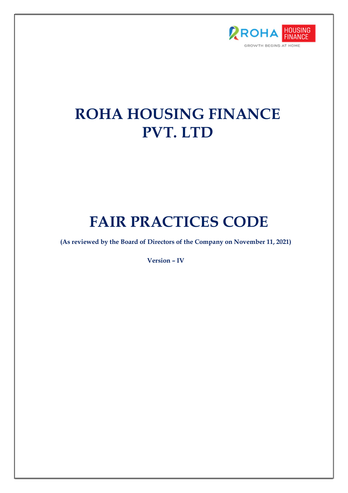

# ROHA HOUSING FINANCE PVT. LTD

# FAIR PRACTICES CODE

(As reviewed by the Board of Directors of the Company on November 11, 2021)

Version – IV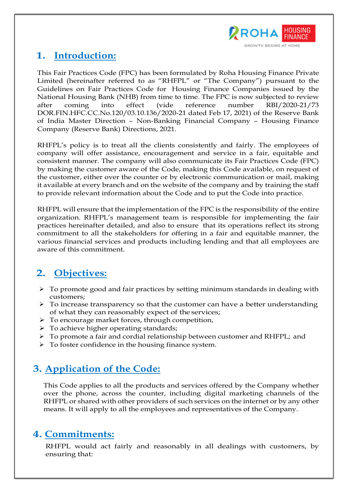

# 1. Introduction:

This Fair Practices Code (FPC) has been formulated by Roha Housing Finance Private Limited (hereinafter referred to as "RHFPL" or "The Company") pursuant to the Guidelines on Fair Practices Code for Housing Finance Companies issued by the National Housing Bank (NHB) from time to time. The FPC is now subjected to review after coming into effect (vide reference number RBI/2020-21/73 DOR.FIN.HFC.CC.No.120/03.10.136/2020-21 dated Feb 17, 2021) of the Reserve Bank of India Master Direction – Non-Banking Financial Company – Housing Finance Company (Reserve Bank) Directions, 2021.

RHFPL's policy is to treat all the clients consistently and fairly. The employees of company will offer assistance, encouragement and service in a fair, equitable and consistent manner. The company will also communicate its Fair Practices Code (FPC) by making the customer aware of the Code, making this Code available, on request of the customer, either over the counter or by electronic communication or mail, making it available at every branch and on the website of the company and by training the staff to provide relevant information about the Code and to put the Code into practice.

RHFPL will ensure that the implementation of the FPC is the responsibility of the entire organization. RHFPL's management team is responsible for implementing the fair practices hereinafter detailed, and also to ensure that its operations reflect its strong commitment to all the stakeholders for offering in a fair and equitable manner, the various financial services and products including lending and that all employees are aware of this commitment.

# 2. Objectives:

- $\triangleright$  To promote good and fair practices by setting minimum standards in dealing with customers;
- $\triangleright$  To increase transparency so that the customer can have a better understanding of what they can reasonably expect of the services;
- $\triangleright$  To encourage market forces, through competition,
- $\triangleright$  To achieve higher operating standards;
- To promote a fair and cordial relationship between customer and RHFPL; and
- $\triangleright$  To foster confidence in the housing finance system.

# 3. Application of the Code:

This Code applies to all the products and services offered by the Company whether over the phone, across the counter, including digital marketing channels of the RHFPL or shared with other providers of such services on the internet or by any other means. It will apply to all the employees and representatives of the Company.

### 4. Commitments:

RHFPL would act fairly and reasonably in all dealings with customers, by ensuring that: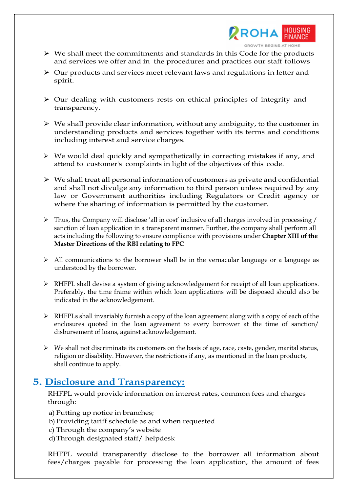

- $\triangleright$  We shall meet the commitments and standards in this Code for the products and services we offer and in the procedures and practices our staff follows
- $\triangleright$  Our products and services meet relevant laws and regulations in letter and spirit.
- $\triangleright$  Our dealing with customers rests on ethical principles of integrity and transparency.
- $\triangleright$  We shall provide clear information, without any ambiguity, to the customer in understanding products and services together with its terms and conditions including interest and service charges.
- $\triangleright$  We would deal quickly and sympathetically in correcting mistakes if any, and attend to customer's complaints in light of the objectives of this code.
- $\triangleright$  We shall treat all personal information of customers as private and confidential and shall not divulge any information to third person unless required by any law or Government authorities including Regulators or Credit agency or where the sharing of information is permitted by the customer.
- $\triangleright$  Thus, the Company will disclose 'all in cost' inclusive of all charges involved in processing / sanction of loan application in a transparent manner. Further, the company shall perform all acts including the following to ensure compliance with provisions under Chapter XIII of the Master Directions of the RBI relating to FPC
- $\triangleright$  All communications to the borrower shall be in the vernacular language or a language as understood by the borrower.
- RHFPL shall devise a system of giving acknowledgement for receipt of all loan applications. Preferably, the time frame within which loan applications will be disposed should also be indicated in the acknowledgement.
- RHFPLs shall invariably furnish a copy of the loan agreement along with a copy of each of the enclosures quoted in the loan agreement to every borrower at the time of sanction/ disbursement of loans, against acknowledgement.
- $\triangleright$  We shall not discriminate its customers on the basis of age, race, caste, gender, marital status, religion or disability. However, the restrictions if any, as mentioned in the loan products, shall continue to apply.

### 5. Disclosure and Transparency:

RHFPL would provide information on interest rates, common fees and charges through:

- a) Putting up notice in branches;
- b)Providing tariff schedule as and when requested
- c) Through the company's website
- d)Through designated staff/ helpdesk

RHFPL would transparently disclose to the borrower all information about fees/charges payable for processing the loan application, the amount of fees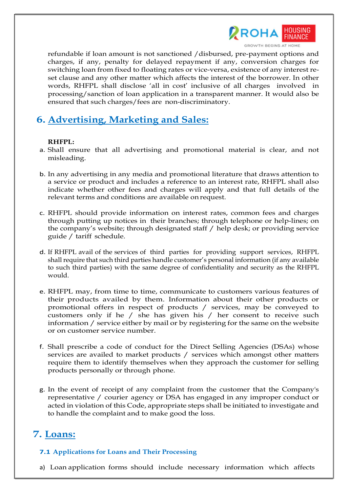

refundable if loan amount is not sanctioned /disbursed, pre-payment options and

charges, if any, penalty for delayed repayment if any, conversion charges for switching loan from fixed to floating rates or vice-versa, existence of any interest reset clause and any other matter which affects the interest of the borrower. In other words, RHFPL shall disclose 'all in cost' inclusive of all charges involved in processing/sanction of loan application in a transparent manner. It would also be ensured that such charges/fees are non-discriminatory.

### 6. Advertising, Marketing and Sales:

#### RHFPL:

- a. Shall ensure that all advertising and promotional material is clear, and not misleading.
- b. In any advertising in any media and promotional literature that draws attention to a service or product and includes a reference to an interest rate, RHFPL shall also indicate whether other fees and charges will apply and that full details of the relevant terms and conditions are available on request.
- c. RHFPL should provide information on interest rates, common fees and charges through putting up notices in their branches; through telephone or help-lines; on the company's website; through designated staff / help desk; or providing service guide / tariff schedule.
- d. If RHFPL avail of the services of third parties for providing support services, RHFPL shall require that such third parties handle customer's personal information (if any available to such third parties) with the same degree of confidentiality and security as the RHFPL would.
- e. RHFPL may, from time to time, communicate to customers various features of their products availed by them. Information about their other products or promotional offers in respect of products / services, may be conveyed to customers only if he / she has given his / her consent to receive such information / service either by mail or by registering for the same on the website or on customer service number.
- f. Shall prescribe a code of conduct for the Direct Selling Agencies (DSAs) whose services are availed to market products / services which amongst other matters require them to identify themselves when they approach the customer for selling products personally or through phone.
- g. In the event of receipt of any complaint from the customer that the Company's representative / courier agency or DSA has engaged in any improper conduct or acted in violation of this Code, appropriate steps shall be initiated to investigate and to handle the complaint and to make good the loss.

# 7. Loans:

#### 7.1 Applications for Loans and Their Processing

a) Loan application forms should include necessary information which affects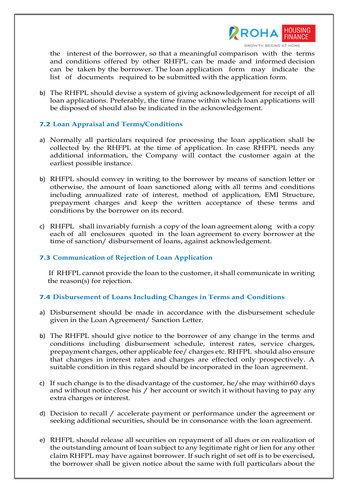

GROWTH BEGINS AT HOME

the interest of the borrower, so that a meaningful comparison with the terms and conditions offered by other RHFPL can be made and informed decision can be taken by the borrower. The loan application form may indicate the list of documents required to be submitted with the application form.

b) The RHFPL should devise a system of giving acknowledgement for receipt of all loan applications. Preferably, the time frame within which loan applications will be disposed of should also be indicated in the acknowledgement.

#### 7.2 Loan Appraisal and Terms/Conditions

- a) Normally all particulars required for processing the loan application shall be collected by the RHFPL at the time of application. In case RHFPL needs any additional information, the Company will contact the customer again at the earliest possible instance.
- b) RHFPL should convey in writing to the borrower by means of sanction letter or otherwise, the amount of loan sanctioned along with all terms and conditions including annualized rate of interest, method of application, EMI Structure, prepayment charges and keep the written acceptance of these terms and conditions by the borrower on its record.
- c) RHFPL shall invariably furnish a copy of the loan agreement along with a copy each of all enclosures quoted in the loan agreement to every borrower at the time of sanction/ disbursement of loans, against acknowledgement.

#### 7.3 Communication of Rejection of Loan Application

If RHFPL cannot provide the loan to the customer, it shall communicate in writing the reason(s) for rejection.

#### 7.4 Disbursement of Loans Including Changes in Terms and Conditions

- a) Disbursement should be made in accordance with the disbursement schedule given in the Loan Agreement/ Sanction Letter.
- b) The RHFPL should give notice to the borrower of any change in the terms and conditions including disbursement schedule, interest rates, service charges, prepayment charges, other applicable fee/ charges etc. RHFPL should also ensure that changes in interest rates and charges are effected only prospectively. A suitable condition in this regard should be incorporated in the loan agreement.
- c) If such change is to the disadvantage of the customer, he/she may within 60 days and without notice close his / her account or switch it without having to pay any extra charges or interest.
- d) Decision to recall / accelerate payment or performance under the agreement or seeking additional securities, should be in consonance with the loan agreement.
- e) RHFPL should release all securities on repayment of all dues or on realization of the outstanding amount of loan subject to any legitimate right or lien for any other claim RHFPL may have against borrower. If such right of set off is to be exercised, the borrower shall be given notice about the same with full particulars about the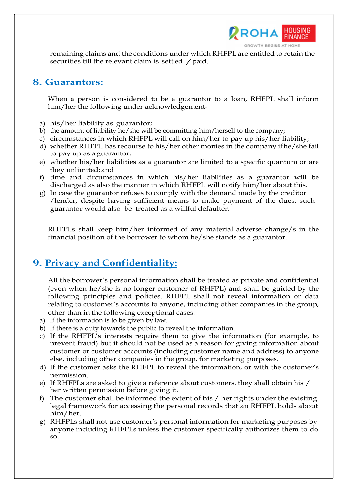

remaining claims and the conditions under which RHFPL are entitled to retain the securities till the relevant claim is settled / paid.

### 8. Guarantors:

When a person is considered to be a guarantor to a loan, RHFPL shall inform him/her the following under acknowledgement-

- a) his/her liability as guarantor;
- b) the amount of liability he/she will be committing him/herself to the company;
- c) circumstances in which RHFPL will call on him/her to pay up his/her liability;
- d) whether RHFPL has recourse to his/her other monies in the company if he/she fail to pay up as a guarantor;
- e) whether his/her liabilities as a guarantor are limited to a specific quantum or are they unlimited; and
- f) time and circumstances in which his/her liabilities as a guarantor will be discharged as also the manner in which RHFPL will notify him/her about this.
- g) In case the guarantor refuses to comply with the demand made by the creditor /lender, despite having sufficient means to make payment of the dues, such guarantor would also be treated as a willful defaulter.

RHFPLs shall keep him/her informed of any material adverse change/s in the financial position of the borrower to whom he/she stands as a guarantor.

## 9. Privacy and Confidentiality:

All the borrower's personal information shall be treated as private and confidential (even when he/she is no longer customer of RHFPL) and shall be guided by the following principles and policies. RHFPL shall not reveal information or data relating to customer's accounts to anyone, including other companies in the group, other than in the following exceptional cases:

- a) If the information is to be given by law.
- b) If there is a duty towards the public to reveal the information.
- c) If the RHFPL's interests require them to give the information (for example, to prevent fraud) but it should not be used as a reason for giving information about customer or customer accounts (including customer name and address) to anyone else, including other companies in the group, for marketing purposes.
- d) If the customer asks the RHFPL to reveal the information, or with the customer's permission.
- e) If RHFPLs are asked to give a reference about customers, they shall obtain his / her written permission before giving it.
- f) The customer shall be informed the extent of his / her rights under the existing legal framework for accessing the personal records that an RHFPL holds about him/her.
- g) RHFPLs shall not use customer's personal information for marketing purposes by anyone including RHFPLs unless the customer specifically authorizes them to do so.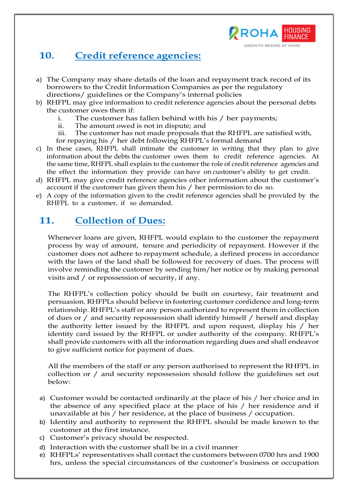

## 10. Credit reference agencies:

- a) The Company may share details of the loan and repayment track record of its borrowers to the Credit Information Companies as per the regulatory directions/ guidelines or the Company's internal policies
- b) RHFPL may give information to credit reference agencies about the personal debts the customer owes them if:
	- i. The customer has fallen behind with his / her payments;<br>ii The amount owed is not in dispute: and
	- The amount owed is not in dispute; and
	- iii. The customer has not made proposals that the RHFPL are satisfied with, for repaying his / her debt following RHFPL's formal demand
- c) In these cases, RHFPL shall intimate the customer in writing that they plan to give information about the debts the customer owes them to credit reference agencies. At the same time, RHFPL shall explain to the customer the role of credit reference agencies and the effect the information they provide can have on customer's ability to get credit.
- d) RHFPL may give credit reference agencies other information about the customer's account if the customer has given them his / her permission to do so.
- e) A copy of the information given to the credit reference agencies shall be provided by the RHFPL to a customer, if so demanded.

### 11. Collection of Dues:

Whenever loans are given, RHFPL would explain to the customer the repayment process by way of amount, tenure and periodicity of repayment. However if the customer does not adhere to repayment schedule, a defined process in accordance with the laws of the land shall be followed for recovery of dues. The process will involve reminding the customer by sending him/her notice or by making personal visits and / or repossession of security, if any.

The RHFPL's collection policy should be built on courtesy, fair treatment and persuasion. RHFPLs should believe in fostering customer confidence and long-term relationship. RHFPL's staff or any person authorized to represent them in collection of dues or / and security repossession shall identify himself / herself and display the authority letter issued by the RHFPL and upon request, display his / her identity card issued by the RHFPL or under authority of the company. RHFPL's shall provide customers with all the information regarding dues and shall endeavor to give sufficient notice for payment of dues.

All the members of the staff or any person authorised to represent the RHFPL in collection or / and security repossession should follow the guidelines set out below:

- a) Customer would be contacted ordinarily at the place of his / her choice and in the absence of any specified place at the place of his / her residence and if unavailable at his / her residence, at the place of business / occupation.
- b) Identity and authority to represent the RHFPL should be made known to the customer at the first instance.
- c) Customer's privacy should be respected.
- d) Interaction with the customer shall be in a civil manner
- e) RHFPLs' representatives shall contact the customers between 0700 hrs and 1900 hrs, unless the special circumstances of the customer's business or occupation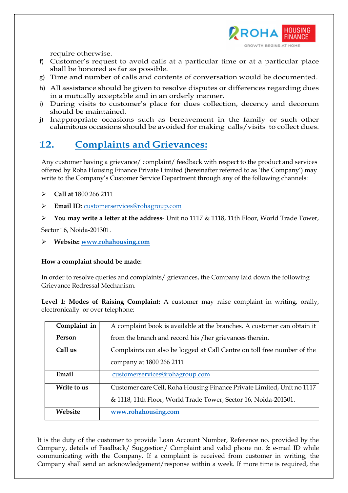

require otherwise.

- f) Customer's request to avoid calls at a particular time or at a particular place shall be honored as far as possible.
- g) Time and number of calls and contents of conversation would be documented.
- h) All assistance should be given to resolve disputes or differences regarding dues in a mutually acceptable and in an orderly manner.
- i) During visits to customer's place for dues collection, decency and decorum should be maintained.
- j) Inappropriate occasions such as bereavement in the family or such other calamitous occasions should be avoided for making calls/visits to collect dues.

# 12. Complaints and Grievances:

Any customer having a grievance/ complaint/ feedback with respect to the product and services offered by Roha Housing Finance Private Limited (hereinafter referred to as 'the Company') may write to the Company's Customer Service Department through any of the following channels:

- $\triangleright$  Call at 1800 266 2111
- Email ID: customerservices@rohagroup.com
- $\triangleright$  You may write a letter at the address- Unit no 1117 & 1118, 11th Floor, World Trade Tower,

Sector 16, Noida-201301.

Website: www.rohahousing.com

#### How a complaint should be made:

In order to resolve queries and complaints/ grievances, the Company laid down the following Grievance Redressal Mechanism.

Level 1: Modes of Raising Complaint: A customer may raise complaint in writing, orally, electronically or over telephone:

| Complaint in | A complaint book is available at the branches. A customer can obtain it |
|--------------|-------------------------------------------------------------------------|
| Person       | from the branch and record his / her grievances therein.                |
| Call us      | Complaints can also be logged at Call Centre on toll free number of the |
|              | company at 1800 266 2111                                                |
| Email        | customerservices@rohagroup.com                                          |
| Write to us  | Customer care Cell, Roha Housing Finance Private Limited, Unit no 1117  |
|              | & 1118, 11th Floor, World Trade Tower, Sector 16, Noida-201301.         |
| Website      | www.rohahousing.com                                                     |

It is the duty of the customer to provide Loan Account Number, Reference no. provided by the Company, details of Feedback/ Suggestion/ Complaint and valid phone no. & e-mail ID while communicating with the Company. If a complaint is received from customer in writing, the Company shall send an acknowledgement/response within a week. If more time is required, the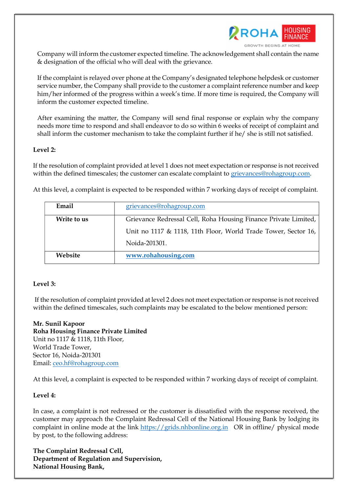

Company will inform the customer expected timeline. The acknowledgement shall contain the name & designation of the official who will deal with the grievance.

If the complaint is relayed over phone at the Company's designated telephone helpdesk or customer service number, the Company shall provide to the customer a complaint reference number and keep him/her informed of the progress within a week's time. If more time is required, the Company will inform the customer expected timeline.

After examining the matter, the Company will send final response or explain why the company needs more time to respond and shall endeavor to do so within 6 weeks of receipt of complaint and shall inform the customer mechanism to take the complaint further if he/ she is still not satisfied.

#### Level 2:

If the resolution of complaint provided at level 1 does not meet expectation or response is not received within the defined timescales; the customer can escalate complaint to grievances@rohagroup.com.

At this level, a complaint is expected to be responded within 7 working days of receipt of complaint.

| Email       | grievances@rohagroup.com                                          |
|-------------|-------------------------------------------------------------------|
| Write to us | Grievance Redressal Cell, Roha Housing Finance Private Limited,   |
|             | Unit no 1117 $\&$ 1118, 11th Floor, World Trade Tower, Sector 16, |
|             | Noida-201301.                                                     |
| Website     | www.rohahousing.com                                               |

#### Level 3:

 If the resolution of complaint provided at level 2 does not meet expectation or response is not received within the defined timescales, such complaints may be escalated to the below mentioned person:

Mr. Sunil Kapoor Roha Housing Finance Private Limited Unit no 1117 & 1118, 11th Floor, World Trade Tower, Sector 16, Noida-201301 Email: ceo.hf@rohagroup.com

At this level, a complaint is expected to be responded within 7 working days of receipt of complaint.

#### Level 4:

In case, a complaint is not redressed or the customer is dissatisfied with the response received, the customer may approach the Complaint Redressal Cell of the National Housing Bank by lodging its complaint in online mode at the link https://grids.nhbonline.org.in OR in offline/ physical mode by post, to the following address:

The Complaint Redressal Cell, Department of Regulation and Supervision, National Housing Bank,